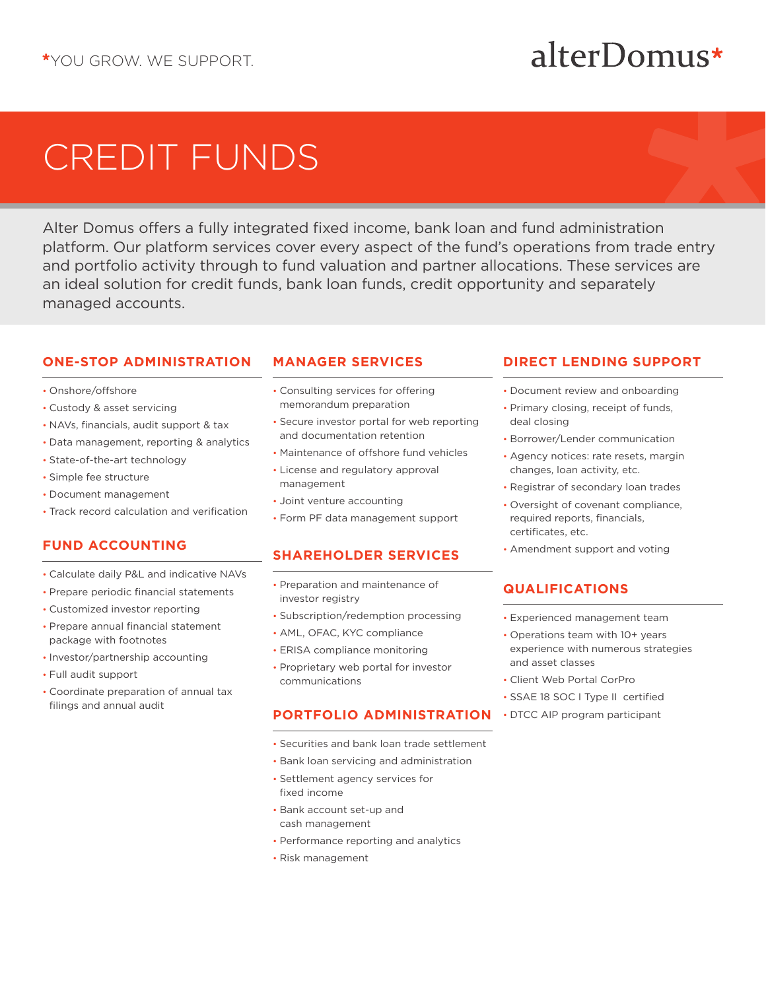## alterDomus\*

# CREDIT FUNDS

Alter Domus offers a fully integrated fixed income, bank loan and fund administration platform. Our platform services cover every aspect of the fund's operations from trade entry and portfolio activity through to fund valuation and partner allocations. These services are an ideal solution for credit funds, bank loan funds, credit opportunity and separately managed accounts.

### **ONE-STOP ADMINISTRATION**

- Onshore/offshore
- Custody & asset servicing
- NAVs, financials, audit support & tax
- Data management, reporting & analytics
- State-of-the-art technology
- Simple fee structure
- Document management
- Track record calculation and verification

### **FUND ACCOUNTING**

- Calculate daily P&L and indicative NAVs
- Prepare periodic financial statements
- Customized investor reporting
- Prepare annual financial statement package with footnotes
- Investor/partnership accounting
- Full audit support
- Coordinate preparation of annual tax filings and annual audit

### **MANAGER SERVICES**

- Consulting services for offering memorandum preparation
- Secure investor portal for web reporting and documentation retention
- Maintenance of offshore fund vehicles
- License and regulatory approval management
- Joint venture accounting
- Form PF data management support

### **SHAREHOLDER SERVICES**

- Preparation and maintenance of investor registry
- Subscription/redemption processing
- AML, OFAC, KYC compliance
- ERISA compliance monitoring
- Proprietary web portal for investor communications

### **PORTFOLIO ADMINISTRATION**

- Securities and bank loan trade settlement
- Bank loan servicing and administration
- Settlement agency services for fixed income
- Bank account set-up and cash management
- Performance reporting and analytics
- Risk management

### **DIRECT LENDING SUPPORT**

- Document review and onboarding
- Primary closing, receipt of funds, deal closing
- Borrower/Lender communication
- Agency notices: rate resets, margin changes, loan activity, etc.
- Registrar of secondary loan trades
- Oversight of covenant compliance, required reports, financials, certificates, etc.
- Amendment support and voting

### **QUALIFICATIONS**

- Experienced management team
- Operations team with 10+ years experience with numerous strategies and asset classes
- Client Web Portal CorPro
- SSAE 18 SOC I Type II certified
- DTCC AIP program participant